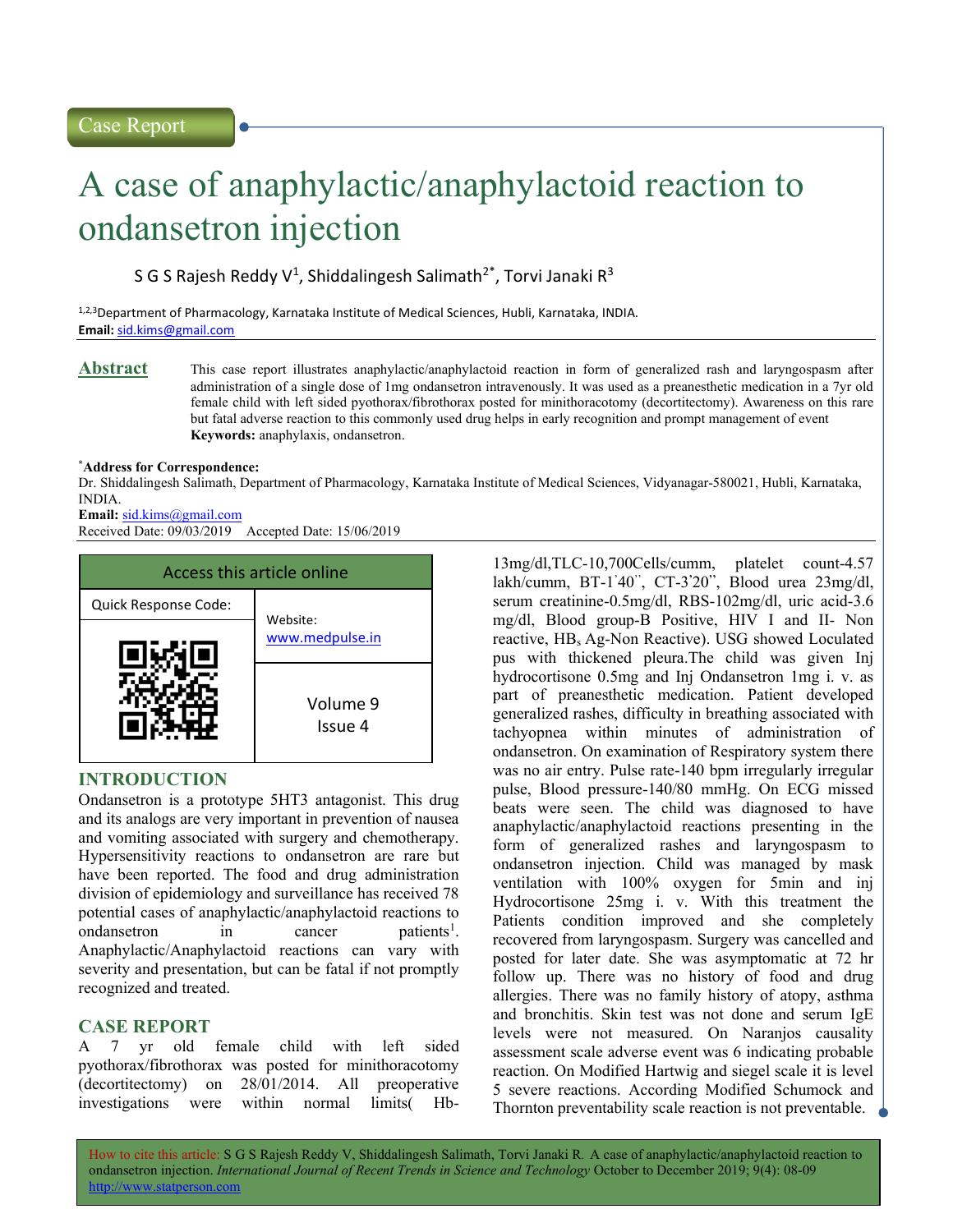# Case Report

# A case of anaphylactic/anaphylactoid reaction to ondansetron injection

S G S Rajesh Reddy V<sup>1</sup>, Shiddalingesh Salimath<sup>2\*</sup>, Torvi Janaki R<sup>3</sup>

1,2,3Department of Pharmacology, Karnataka Institute of Medical Sciences, Hubli, Karnataka, INDIA. Email: sid.kims@gmail.com

Abstract This case report illustrates anaphylactic/anaphylactoid reaction in form of generalized rash and laryngospasm after administration of a single dose of 1mg ondansetron intravenously. It was used as a preanesthetic medication in a 7yr old female child with left sided pyothorax/fibrothorax posted for minithoracotomy (decortitectomy). Awareness on this rare but fatal adverse reaction to this commonly used drug helps in early recognition and prompt management of event Keywords: anaphylaxis, ondansetron.

### \*Address for Correspondence:

Dr. Shiddalingesh Salimath, Department of Pharmacology, Karnataka Institute of Medical Sciences, Vidyanagar-580021, Hubli, Karnataka, INDIA.

### Email: sid.kims@gmail.com

Received Date: 09/03/2019 Accepted Date: 15/06/2019



# INTRODUCTION

Ondansetron is a prototype 5HT3 antagonist. This drug and its analogs are very important in prevention of nausea and vomiting associated with surgery and chemotherapy. Hypersensitivity reactions to ondansetron are rare but have been reported. The food and drug administration division of epidemiology and surveillance has received 78 potential cases of anaphylactic/anaphylactoid reactions to ondansetron in cancer patients<sup>1</sup>. Anaphylactic/Anaphylactoid reactions can vary with severity and presentation, but can be fatal if not promptly recognized and treated.

# CASE REPORT

A 7 yr old female child with left sided pyothorax/fibrothorax was posted for minithoracotomy (decortitectomy) on 28/01/2014. All preoperative investigations were within normal limits( Hb-

13mg/dl,TLC-10,700Cells/cumm, platelet count-4.57 lakh/cumm, BT-1'40'', CT-3'20'', Blood urea 23mg/dl, serum creatinine-0.5mg/dl, RBS-102mg/dl, uric acid-3.6 mg/dl, Blood group-B Positive, HIV I and II- Non reactive, HBs Ag-Non Reactive). USG showed Loculated pus with thickened pleura.The child was given Inj hydrocortisone 0.5mg and Inj Ondansetron 1mg i. v. as part of preanesthetic medication. Patient developed generalized rashes, difficulty in breathing associated with tachyopnea within minutes of administration of ondansetron. On examination of Respiratory system there was no air entry. Pulse rate-140 bpm irregularly irregular pulse, Blood pressure-140/80 mmHg. On ECG missed beats were seen. The child was diagnosed to have anaphylactic/anaphylactoid reactions presenting in the form of generalized rashes and laryngospasm to ondansetron injection. Child was managed by mask ventilation with 100% oxygen for 5min and inj Hydrocortisone 25mg i. v. With this treatment the Patients condition improved and she completely recovered from laryngospasm. Surgery was cancelled and posted for later date. She was asymptomatic at 72 hr follow up. There was no history of food and drug allergies. There was no family history of atopy, asthma and bronchitis. Skin test was not done and serum IgE levels were not measured. On Naranjos causality assessment scale adverse event was 6 indicating probable reaction. On Modified Hartwig and siegel scale it is level 5 severe reactions. According Modified Schumock and Thornton preventability scale reaction is not preventable.  $\Box$ 

How to cite this article: S G S Rajesh Reddy V, Shiddalingesh Salimath, Torvi Janaki R. A case of anaphylactic/anaphylactoid reaction to ondansetron injection. International Journal of Recent Trends in Science and Technology October to December 2019; 9(4): 08-09 http://www.statperson.com